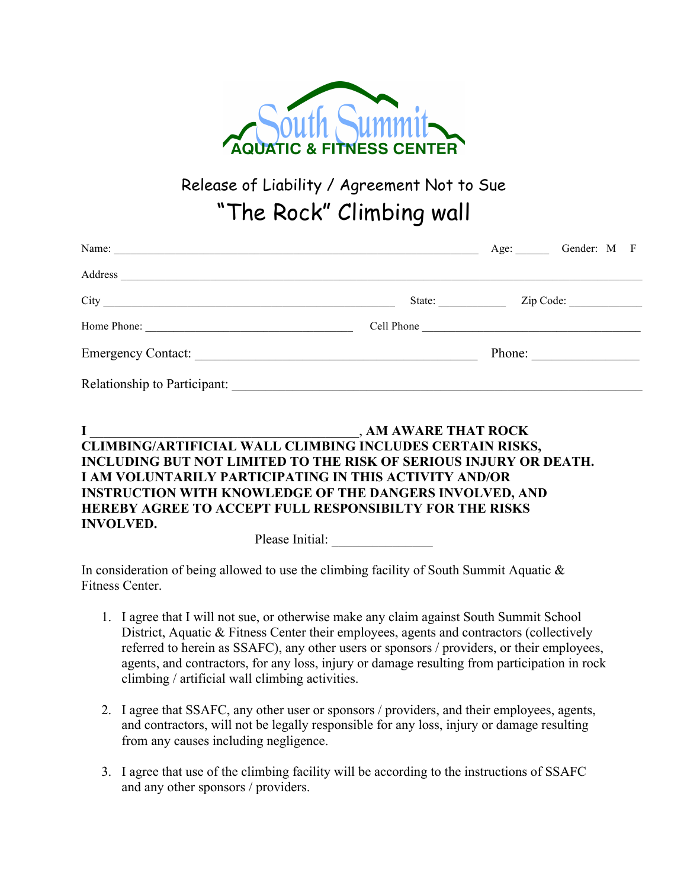

Release of Liability / Agreement Not to Sue "The Rock" Climbing wall

| Name:                        |        |  | Age: Gender: M F |  |
|------------------------------|--------|--|------------------|--|
| Address                      |        |  |                  |  |
|                              | State: |  |                  |  |
| Home Phone:                  |        |  |                  |  |
| Emergency Contact:           | Phone: |  |                  |  |
| Relationship to Participant: |        |  |                  |  |

|                                                        | , AM AWARE THAT ROCK                                                     |  |  |
|--------------------------------------------------------|--------------------------------------------------------------------------|--|--|
|                                                        | CLIMBING/ARTIFICIAL WALL CLIMBING INCLUDES CERTAIN RISKS,                |  |  |
|                                                        | <b>INCLUDING BUT NOT LIMITED TO THE RISK OF SERIOUS INJURY OR DEATH.</b> |  |  |
| I AM VOLUNTARILY PARTICIPATING IN THIS ACTIVITY AND/OR |                                                                          |  |  |
|                                                        | <b>INSTRUCTION WITH KNOWLEDGE OF THE DANGERS INVOLVED, AND</b>           |  |  |
|                                                        | <b>HEREBY AGREE TO ACCEPT FULL RESPONSIBILTY FOR THE RISKS</b>           |  |  |
| <b>INVOLVED.</b>                                       |                                                                          |  |  |
|                                                        |                                                                          |  |  |

Please Initial:

In consideration of being allowed to use the climbing facility of South Summit Aquatic & Fitness Center.

- 1. I agree that I will not sue, or otherwise make any claim against South Summit School District, Aquatic & Fitness Center their employees, agents and contractors (collectively referred to herein as SSAFC), any other users or sponsors / providers, or their employees, agents, and contractors, for any loss, injury or damage resulting from participation in rock climbing / artificial wall climbing activities.
- 2. I agree that SSAFC, any other user or sponsors / providers, and their employees, agents, and contractors, will not be legally responsible for any loss, injury or damage resulting from any causes including negligence.
- 3. I agree that use of the climbing facility will be according to the instructions of SSAFC and any other sponsors / providers.